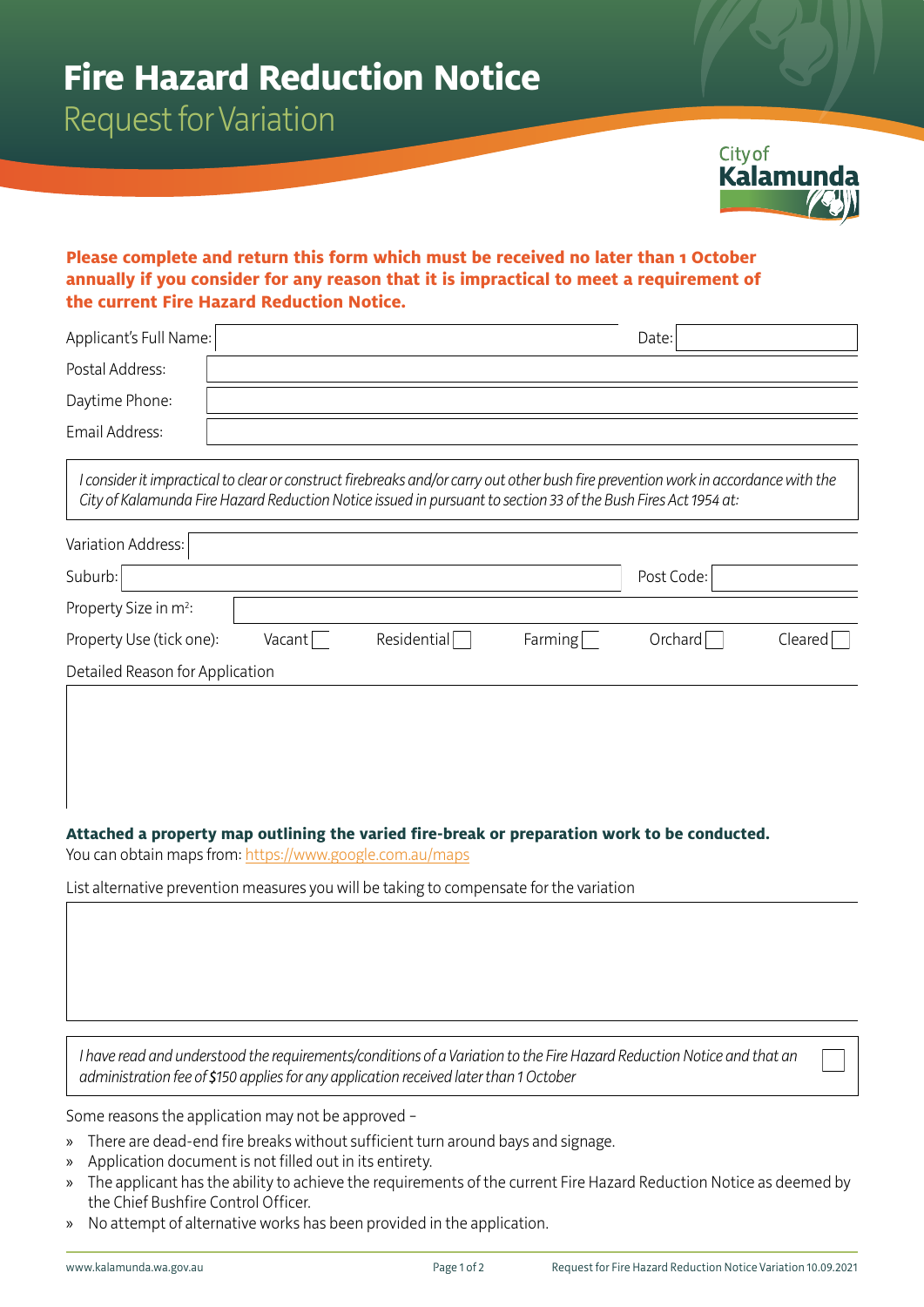Request for Variation



## **Please complete and return this form which must be received no later than 1 October annually if you consider for any reason that it is impractical to meet a requirement of the current Fire Hazard Reduction Notice.**

| Applicant's Full Name:                                                                                                                                                                                                                               |        |             |         | Date:      |         |  |  |
|------------------------------------------------------------------------------------------------------------------------------------------------------------------------------------------------------------------------------------------------------|--------|-------------|---------|------------|---------|--|--|
| Postal Address:                                                                                                                                                                                                                                      |        |             |         |            |         |  |  |
| Daytime Phone:                                                                                                                                                                                                                                       |        |             |         |            |         |  |  |
| Email Address:                                                                                                                                                                                                                                       |        |             |         |            |         |  |  |
| I consider it impractical to clear or construct firebreaks and/or carry out other bush fire prevention work in accordance with the<br>City of Kalamunda Fire Hazard Reduction Notice issued in pursuant to section 33 of the Bush Fires Act 1954 at: |        |             |         |            |         |  |  |
| <b>Variation Address:</b>                                                                                                                                                                                                                            |        |             |         |            |         |  |  |
| Suburb:                                                                                                                                                                                                                                              |        |             |         | Post Code: |         |  |  |
| Property Size in m <sup>2</sup> :                                                                                                                                                                                                                    |        |             |         |            |         |  |  |
| Property Use (tick one):                                                                                                                                                                                                                             | Vacant | Residential | Farming | Orchard    | Cleared |  |  |
| Detailed Reason for Application                                                                                                                                                                                                                      |        |             |         |            |         |  |  |
|                                                                                                                                                                                                                                                      |        |             |         |            |         |  |  |
|                                                                                                                                                                                                                                                      |        |             |         |            |         |  |  |
|                                                                                                                                                                                                                                                      |        |             |         |            |         |  |  |

### **Attached a property map outlining the varied fire-break or preparation work to be conducted.**

You can obtain maps from:<https://www.google.com.au/maps>

List alternative prevention measures you will be taking to compensate for the variation

*I have read and understood the requirements/conditions of a Variation to the Fire Hazard Reduction Notice and that an administration fee of \$150 applies for any application received later than 1 October*

Some reasons the application may not be approved –

- » There are dead-end fire breaks without sufficient turn around bays and signage.
- » Application document is not filled out in its entirety.
- » The applicant has the ability to achieve the requirements of the current Fire Hazard Reduction Notice as deemed by the Chief Bushfire Control Officer.
- » No attempt of alternative works has been provided in the application.